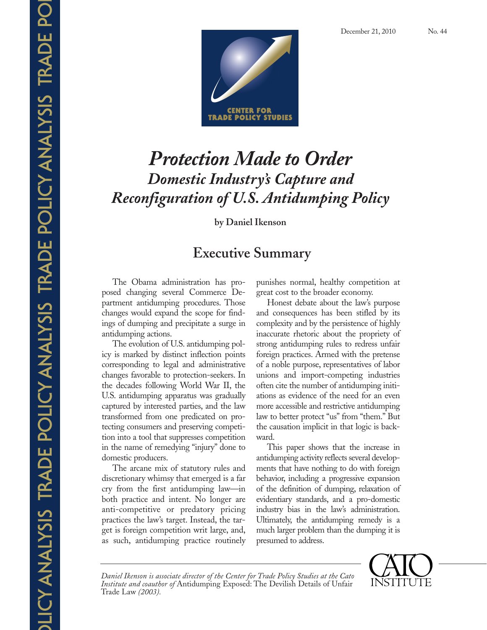

# *Protection Made to Order Domestic Industry's Capture and Reconfiguration of U.S. Antidumping Policy*

**by Daniel Ikenson**

## **Executive Summary**

The Obama administration has proposed changing several Commerce Department antidumping procedures. Those changes would expand the scope for findings of dumping and precipitate a surge in antidumping actions.

The evolution of U.S. antidumping policy is marked by distinct inflection points corresponding to legal and administrative changes favorable to protection-seekers. In the decades following World War II, the U.S. antidumping apparatus was gradually captured by interested parties, and the law transformed from one predicated on protecting consumers and preserving competition into a tool that suppresses competition in the name of remedying "injury" done to domestic producers.

The arcane mix of statutory rules and discretionary whimsy that emerged is a far cry from the first antidumping law—in both practice and intent. No longer are anti-competitive or predatory pricing practices the law's target. Instead, the target is foreign competition writ large, and, as such, antidumping practice routinely punishes normal, healthy competition at great cost to the broader economy.

Honest debate about the law's purpose and consequences has been stifled by its complexity and by the persistence of highly inaccurate rhetoric about the propriety of strong antidumping rules to redress unfair foreign practices. Armed with the pretense of a noble purpose, representatives of labor unions and import-competing industries often cite the number of antidumping initiations as evidence of the need for an even more accessible and restrictive antidumping law to better protect "us" from "them." But the causation implicit in that logic is backward.

This paper shows that the increase in antidumping activity reflects several developments that have nothing to do with foreign behavior, including a progressive expansion of the definition of dumping, relaxation of evidentiary standards, and a pro-domestic industry bias in the law's administration. Ultimately, the antidumping remedy is a much larger problem than the dumping it is presumed to address.

*Daniel Ikenson is associate director of the Center for Trade Policy Studies at the Cato Institute and coauthor of* Antidumping Exposed: The Devilish Details of Unfair Trade Law *(2003).*

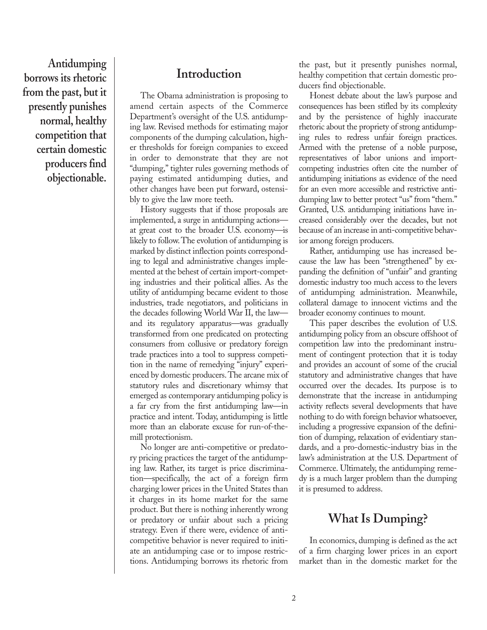**Antidumping borrows its rhetoric from the past, but it presently punishes normal, healthy competition that certain domestic producers find objectionable.**

#### **Introduction**

The Obama administration is proposing to amend certain aspects of the Commerce Department's oversight of the U.S. antidumping law. Revised methods for estimating major components of the dumping calculation, higher thresholds for foreign companies to exceed in order to demonstrate that they are not "dumping," tighter rules governing methods of paying estimated antidumping duties, and other changes have been put forward, ostensibly to give the law more teeth.

History suggests that if those proposals are implemented, a surge in antidumping actions at great cost to the broader U.S. economy—is likely to follow. The evolution of antidumping is marked by distinct inflection points corresponding to legal and administrative changes implemented at the behest of certain import-competing industries and their political allies. As the utility of antidumping became evident to those industries, trade negotiators, and politicians in the decades following World War II, the law and its regulatory apparatus—was gradually transformed from one predicated on protecting consumers from collusive or predatory foreign trade practices into a tool to suppress competition in the name of remedying "injury" experienced by domestic producers. The arcane mix of statutory rules and discretionary whimsy that emerged as contemporary antidumping policy is a far cry from the first antidumping law—in practice and intent. Today, antidumping is little more than an elaborate excuse for run-of-themill protectionism.

No longer are anti-competitive or predatory pricing practices the target of the antidumping law. Rather, its target is price discrimination—specifically, the act of a foreign firm charging lower prices in the United States than it charges in its home market for the same product. But there is nothing inherently wrong or predatory or unfair about such a pricing strategy. Even if there were, evidence of anticompetitive behavior is never required to initiate an antidumping case or to impose restrictions. Antidumping borrows its rhetoric from the past, but it presently punishes normal, healthy competition that certain domestic producers find objectionable.

Honest debate about the law's purpose and consequences has been stifled by its complexity and by the persistence of highly inaccurate rhetoric about the propriety of strong antidumping rules to redress unfair foreign practices. Armed with the pretense of a noble purpose, representatives of labor unions and importcompeting industries often cite the number of antidumping initiations as evidence of the need for an even more accessible and restrictive antidumping law to better protect "us" from "them." Granted, U.S. antidumping initiations have increased considerably over the decades, but not because of an increase in anti-competitive behavior among foreign producers.

Rather, antidumping use has increased because the law has been "strengthened" by expanding the definition of "unfair" and granting domestic industry too much access to the levers of antidumping administration. Meanwhile, collateral damage to innocent victims and the broader economy continues to mount.

This paper describes the evolution of U.S. antidumping policy from an obscure offshoot of competition law into the predominant instrument of contingent protection that it is today and provides an account of some of the crucial statutory and administrative changes that have occurred over the decades. Its purpose is to demonstrate that the increase in antidumping activity reflects several developments that have nothing to do with foreign behavior whatsoever, including a progressive expansion of the definition of dumping, relaxation of evidentiary standards, and a pro-domestic-industry bias in the law's administration at the U.S. Department of Commerce. Ultimately, the antidumping remedy is a much larger problem than the dumping it is presumed to address.

#### **What Is Dumping?**

In economics, dumping is defined as the act of a firm charging lower prices in an export market than in the domestic market for the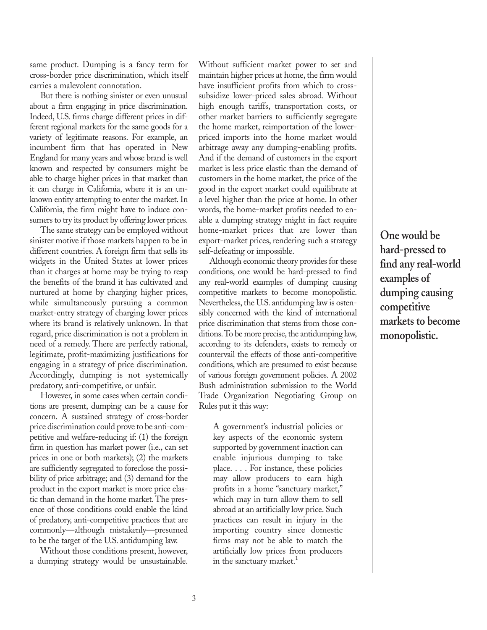same product. Dumping is a fancy term for cross-border price discrimination, which itself carries a malevolent connotation.

But there is nothing sinister or even unusual about a firm engaging in price discrimination. Indeed, U.S. firms charge different prices in different regional markets for the same goods for a variety of legitimate reasons. For example, an incumbent firm that has operated in New England for many years and whose brand is well known and respected by consumers might be able to charge higher prices in that market than it can charge in California, where it is an unknown entity attempting to enter the market. In California, the firm might have to induce consumers to try its product by offering lower prices.

The same strategy can be employed without sinister motive if those markets happen to be in different countries. A foreign firm that sells its widgets in the United States at lower prices than it charges at home may be trying to reap the benefits of the brand it has cultivated and nurtured at home by charging higher prices, while simultaneously pursuing a common market-entry strategy of charging lower prices where its brand is relatively unknown. In that regard, price discrimination is not a problem in need of a remedy. There are perfectly rational, legitimate, profit-maximizing justifications for engaging in a strategy of price discrimination. Accordingly, dumping is not systemically predatory, anti-competitive, or unfair.

However, in some cases when certain conditions are present, dumping can be a cause for concern. A sustained strategy of cross-border price discrimination could prove to be anti-competitive and welfare-reducing if: (1) the foreign firm in question has market power (i.e., can set prices in one or both markets); (2) the markets are sufficiently segregated to foreclose the possibility of price arbitrage; and (3) demand for the product in the export market is more price elastic than demand in the home market. The presence of those conditions could enable the kind of predatory, anti-competitive practices that are commonly—although mistakenly—presumed to be the target of the U.S. antidumping law.

Without those conditions present, however, a dumping strategy would be unsustainable. Without sufficient market power to set and maintain higher prices at home, the firm would have insufficient profits from which to crosssubsidize lower-priced sales abroad. Without high enough tariffs, transportation costs, or other market barriers to sufficiently segregate the home market, reimportation of the lowerpriced imports into the home market would arbitrage away any dumping-enabling profits. And if the demand of customers in the export market is less price elastic than the demand of customers in the home market, the price of the good in the export market could equilibrate at a level higher than the price at home. In other words, the home-market profits needed to enable a dumping strategy might in fact require home-market prices that are lower than export-market prices, rendering such a strategy self-defeating or impossible.

Although economic theory provides for these conditions, one would be hard-pressed to find any real-world examples of dumping causing competitive markets to become monopolistic. Nevertheless, the U.S. antidumping law is ostensibly concerned with the kind of international price discrimination that stems from those conditions. To be more precise, the antidumping law, according to its defenders, exists to remedy or countervail the effects of those anti-competitive conditions, which are presumed to exist because of various foreign government policies. A 2002 Bush administration submission to the World Trade Organization Negotiating Group on Rules put it this way:

A government's industrial policies or key aspects of the economic system supported by government inaction can enable injurious dumping to take place. . . . For instance, these policies may allow producers to earn high profits in a home "sanctuary market," which may in turn allow them to sell abroad at an artificially low price. Such practices can result in injury in the importing country since domestic firms may not be able to match the artificially low prices from producers in the sanctuary market.<sup>1</sup>

**One would be hard-pressed to find any real-world examples of dumping causing competitive markets to become monopolistic.**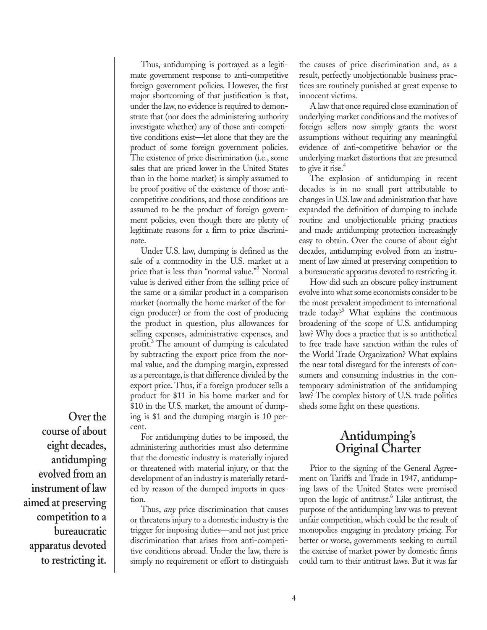Thus, antidumping is portrayed as a legitimate government response to anti-competitive foreign government policies. However, the first major shortcoming of that justification is that, under the law, no evidence is required to demonstrate that (nor does the administering authority investigate whether) any of those anti-competitive conditions exist—let alone that they are the product of some foreign government policies. The existence of price discrimination (i.e., some sales that are priced lower in the United States than in the home market) is simply assumed to be proof positive of the existence of those anticompetitive conditions, and those conditions are assumed to be the product of foreign government policies, even though there are plenty of legitimate reasons for a firm to price discriminate.

Under U.S. law, dumping is defined as the sale of a commodity in the U.S. market at a price that is less than "normal value."2 Normal value is derived either from the selling price of the same or a similar product in a comparison market (normally the home market of the foreign producer) or from the cost of producing the product in question, plus allowances for selling expenses, administrative expenses, and profit.3 The amount of dumping is calculated by subtracting the export price from the normal value, and the dumping margin, expressed as a percentage, is that difference divided by the export price. Thus, if a foreign producer sells a product for \$11 in his home market and for \$10 in the U.S. market, the amount of dumping is \$1 and the dumping margin is 10 percent.

**Over the course of about eight decades, antidumping evolved from an instrument of law aimed at preserving competition to a bureaucratic apparatus devoted to restricting it.**

For antidumping duties to be imposed, the administering authorities must also determine that the domestic industry is materially injured or threatened with material injury, or that the development of an industry is materially retarded by reason of the dumped imports in question.

Thus, *any* price discrimination that causes or threatens injury to a domestic industry is the trigger for imposing duties—and not just price discrimination that arises from anti-competitive conditions abroad. Under the law, there is simply no requirement or effort to distinguish the causes of price discrimination and, as a result, perfectly unobjectionable business practices are routinely punished at great expense to innocent victims.

A law that once required close examination of underlying market conditions and the motives of foreign sellers now simply grants the worst assumptions without requiring any meaningful evidence of anti-competitive behavior or the underlying market distortions that are presumed to give it rise. $4$ 

The explosion of antidumping in recent decades is in no small part attributable to changes in U.S. law and administration that have expanded the definition of dumping to include routine and unobjectionable pricing practices and made antidumping protection increasingly easy to obtain. Over the course of about eight decades, antidumping evolved from an instrument of law aimed at preserving competition to a bureaucratic apparatus devoted to restricting it.

How did such an obscure policy instrument evolve into what some economists consider to be the most prevalent impediment to international trade today?<sup>5</sup> What explains the continuous broadening of the scope of U.S. antidumping law? Why does a practice that is so antithetical to free trade have sanction within the rules of the World Trade Organization? What explains the near total disregard for the interests of consumers and consuming industries in the contemporary administration of the antidumping law? The complex history of U.S. trade politics sheds some light on these questions.

#### **Antidumping's Original Charter**

Prior to the signing of the General Agreement on Tariffs and Trade in 1947, antidumping laws of the United States were premised upon the logic of antitrust.<sup>6</sup> Like antitrust, the purpose of the antidumping law was to prevent unfair competition, which could be the result of monopolies engaging in predatory pricing. For better or worse, governments seeking to curtail the exercise of market power by domestic firms could turn to their antitrust laws. But it was far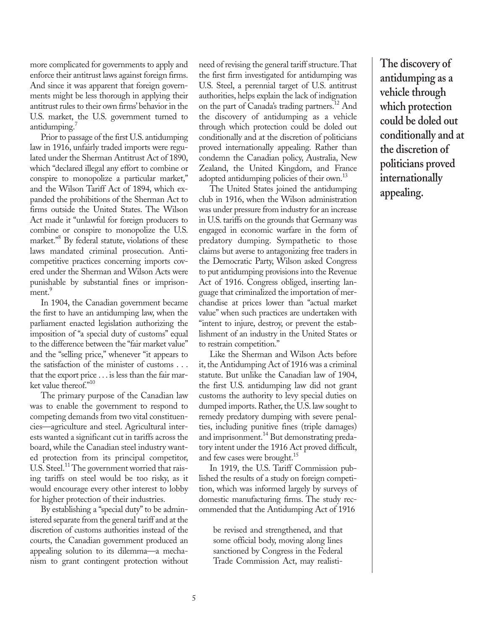more complicated for governments to apply and enforce their antitrust laws against foreign firms. And since it was apparent that foreign governments might be less thorough in applying their antitrust rules to their own firms' behavior in the U.S. market, the U.S. government turned to antidumping.<sup>7</sup>

Prior to passage of the first U.S. antidumping law in 1916, unfairly traded imports were regulated under the Sherman Antitrust Act of 1890, which "declared illegal any effort to combine or conspire to monopolize a particular market," and the Wilson Tariff Act of 1894, which expanded the prohibitions of the Sherman Act to firms outside the United States. The Wilson Act made it "unlawful for foreign producers to combine or conspire to monopolize the U.S. market."<sup>8</sup> By federal statute, violations of these laws mandated criminal prosecution. Anticompetitive practices concerning imports covered under the Sherman and Wilson Acts were punishable by substantial fines or imprisonment.<sup>9</sup>

In 1904, the Canadian government became the first to have an antidumping law, when the parliament enacted legislation authorizing the imposition of "a special duty of customs" equal to the difference between the "fair market value" and the "selling price," whenever "it appears to the satisfaction of the minister of customs . . . that the export price . . . is less than the fair market value thereof."<sup>10</sup>

The primary purpose of the Canadian law was to enable the government to respond to competing demands from two vital constituencies—agriculture and steel. Agricultural interests wanted a significant cut in tariffs across the board, while the Canadian steel industry wanted protection from its principal competitor, U.S. Steel.<sup>11</sup> The government worried that raising tariffs on steel would be too risky, as it would encourage every other interest to lobby for higher protection of their industries.

By establishing a "special duty" to be administered separate from the general tariff and at the discretion of customs authorities instead of the courts, the Canadian government produced an appealing solution to its dilemma—a mechanism to grant contingent protection without need of revising the general tariff structure. That the first firm investigated for antidumping was U.S. Steel, a perennial target of U.S. antitrust authorities, helps explain the lack of indignation on the part of Canada's trading partners.<sup>12</sup> And the discovery of antidumping as a vehicle through which protection could be doled out conditionally and at the discretion of politicians proved internationally appealing. Rather than condemn the Canadian policy, Australia, New Zealand, the United Kingdom, and France adopted antidumping policies of their own.<sup>13</sup>

The United States joined the antidumping club in 1916, when the Wilson administration was under pressure from industry for an increase in U.S. tariffs on the grounds that Germany was engaged in economic warfare in the form of predatory dumping. Sympathetic to those claims but averse to antagonizing free traders in the Democratic Party, Wilson asked Congress to put antidumping provisions into the Revenue Act of 1916. Congress obliged, inserting language that criminalized the importation of merchandise at prices lower than "actual market value" when such practices are undertaken with "intent to injure, destroy, or prevent the establishment of an industry in the United States or to restrain competition."

Like the Sherman and Wilson Acts before it, the Antidumping Act of 1916 was a criminal statute. But unlike the Canadian law of 1904, the first U.S. antidumping law did not grant customs the authority to levy special duties on dumped imports. Rather, the U.S. law sought to remedy predatory dumping with severe penalties, including punitive fines (triple damages) and imprisonment.<sup>14</sup> But demonstrating predatory intent under the 1916 Act proved difficult, and few cases were brought.<sup>15</sup>

In 1919, the U.S. Tariff Commission published the results of a study on foreign competition, which was informed largely by surveys of domestic manufacturing firms. The study recommended that the Antidumping Act of 1916

be revised and strengthened, and that some official body, moving along lines sanctioned by Congress in the Federal Trade Commission Act, may realisti**The discovery of antidumping as a vehicle through which protection could be doled out conditionally and at the discretion of politicians proved internationally appealing.**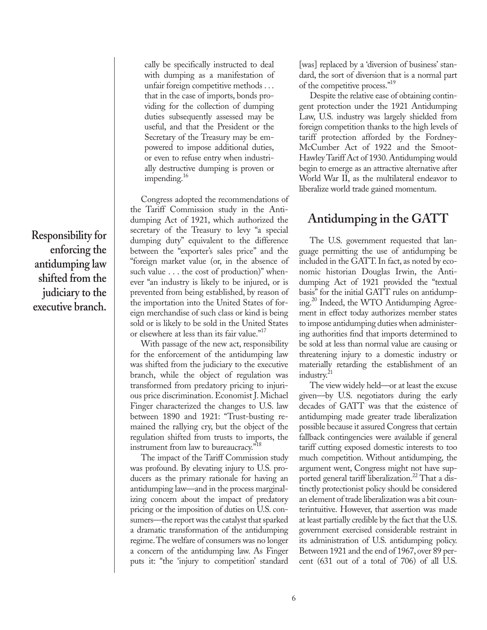cally be specifically instructed to deal with dumping as a manifestation of unfair foreign competitive methods . . . that in the case of imports, bonds providing for the collection of dumping duties subsequently assessed may be useful, and that the President or the Secretary of the Treasury may be empowered to impose additional duties, or even to refuse entry when industrially destructive dumping is proven or impending.<sup>16</sup>

Congress adopted the recommendations of the Tariff Commission study in the Antidumping Act of 1921, which authorized the secretary of the Treasury to levy "a special dumping duty" equivalent to the difference between the "exporter's sales price" and the "foreign market value (or, in the absence of such value . . . the cost of production)" whenever "an industry is likely to be injured, or is prevented from being established, by reason of the importation into the United States of foreign merchandise of such class or kind is being sold or is likely to be sold in the United States or elsewhere at less than its fair value."<sup>17</sup>

With passage of the new act, responsibility for the enforcement of the antidumping law was shifted from the judiciary to the executive branch, while the object of regulation was transformed from predatory pricing to injurious price discrimination. Economist J. Michael Finger characterized the changes to U.S. law between 1890 and 1921: "Trust-busting remained the rallying cry, but the object of the regulation shifted from trusts to imports, the instrument from law to bureaucracy."18

The impact of the Tariff Commission study was profound. By elevating injury to U.S. producers as the primary rationale for having an antidumping law—and in the process marginalizing concern about the impact of predatory pricing or the imposition of duties on U.S. consumers—the report was the catalyst that sparked a dramatic transformation of the antidumping regime. The welfare of consumers was no longer a concern of the antidumping law. As Finger puts it: "the 'injury to competition' standard

[was] replaced by a 'diversion of business' standard, the sort of diversion that is a normal part of the competitive process."<sup>19</sup>

Despite the relative ease of obtaining contingent protection under the 1921 Antidumping Law, U.S. industry was largely shielded from foreign competition thanks to the high levels of tariff protection afforded by the Fordney-McCumber Act of 1922 and the Smoot-Hawley Tariff Act of 1930. Antidumping would begin to emerge as an attractive alternative after World War II, as the multilateral endeavor to liberalize world trade gained momentum.

### **Antidumping in the GATT**

The U.S. government requested that language permitting the use of antidumping be included in the GATT. In fact, as noted by economic historian Douglas Irwin, the Antidumping Act of 1921 provided the "textual basis" for the initial GATT rules on antidumping.<sup>20</sup> Indeed, the WTO Antidumping Agreement in effect today authorizes member states to impose antidumping duties when administering authorities find that imports determined to be sold at less than normal value are causing or threatening injury to a domestic industry or materially retarding the establishment of an industry.<sup>21</sup>

The view widely held—or at least the excuse given—by U.S. negotiators during the early decades of GATT was that the existence of antidumping made greater trade liberalization possible because it assured Congress that certain fallback contingencies were available if general tariff cutting exposed domestic interests to too much competition. Without antidumping, the argument went, Congress might not have supported general tariff liberalization.<sup>22</sup> That a distinctly protectionist policy should be considered an element of trade liberalization was a bit counterintuitive. However, that assertion was made at least partially credible by the fact that the U.S. government exercised considerable restraint in its administration of U.S. antidumping policy. Between 1921 and the end of 1967, over 89 percent (631 out of a total of 706) of all U.S.

**Responsibility for enforcing the antidumping law shifted from the judiciary to the executive branch.**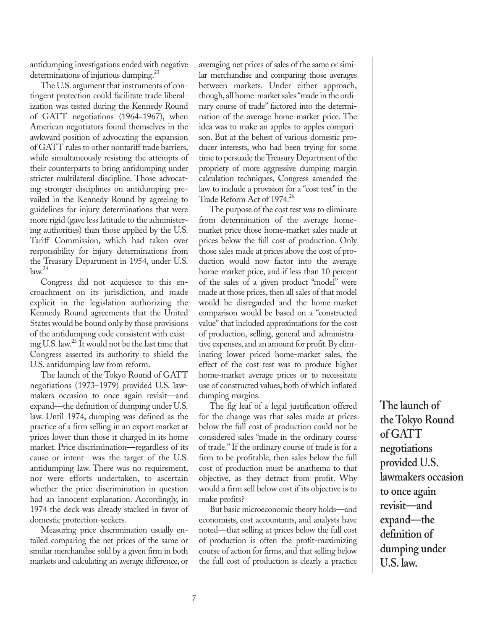antidumping investigations ended with negative determinations of injurious dumping.<sup>23</sup>

The U.S. argument that instruments of contingent protection could facilitate trade liberalization was tested during the Kennedy Round of GATT negotiations (1964−1967), when American negotiators found themselves in the awkward position of advocating the expansion of GATT rules to other nontariff trade barriers, while simultaneously resisting the attempts of their counterparts to bring antidumping under stricter multilateral discipline. Those advocating stronger disciplines on antidumping prevailed in the Kennedy Round by agreeing to guidelines for injury determinations that were more rigid (gave less latitude to the administering authorities) than those applied by the U.S. Tariff Commission, which had taken over responsibility for injury determinations from the Treasury Department in 1954, under U.S.  $law<sup>24</sup>$ 

Congress did not acquiesce to this encroachment on its jurisdiction, and made explicit in the legislation authorizing the Kennedy Round agreements that the United States would be bound only by those provisions of the antidumping code consistent with existing U.S. law.<sup>25</sup> It would not be the last time that Congress asserted its authority to shield the U.S. antidumping law from reform.

The launch of the Tokyo Round of GATT negotiations (1973–1979) provided U.S. lawmakers occasion to once again revisit—and expand—the definition of dumping under U.S. law. Until 1974, dumping was defined as the practice of a firm selling in an export market at prices lower than those it charged in its home market. Price discrimination—regardless of its cause or intent—was the target of the U.S. antidumping law. There was no requirement, nor were efforts undertaken, to ascertain whether the price discrimination in question had an innocent explanation. Accordingly, in 1974 the deck was already stacked in favor of domestic protection-seekers.

Measuring price discrimination usually entailed comparing the net prices of the same or similar merchandise sold by a given firm in both markets and calculating an average difference, or averaging net prices of sales of the same or similar merchandise and comparing those averages between markets. Under either approach, though, all home-market sales "made in the ordinary course of trade" factored into the determination of the average home-market price. The idea was to make an apples-to-apples comparison. But at the behest of various domestic producer interests, who had been trying for some time to persuade the Treasury Department of the propriety of more aggressive dumping margin calculation techniques, Congress amended the law to include a provision for a "cost test" in the Trade Reform Act of 1974.<sup>26</sup>

The purpose of the cost test was to eliminate from determination of the average homemarket price those home-market sales made at prices below the full cost of production. Only those sales made at prices above the cost of production would now factor into the average home-market price, and if less than 10 percent of the sales of a given product "model" were made at those prices, then all sales of that model would be disregarded and the home-market comparison would be based on a "constructed value" that included approximations for the cost of production, selling, general and administrative expenses, and an amount for profit. By eliminating lower priced home-market sales, the effect of the cost test was to produce higher home-market average prices or to necessitate use of constructed values, both of which inflated dumping margins.

The fig leaf of a legal justification offered for the change was that sales made at prices below the full cost of production could not be considered sales "made in the ordinary course of trade." If the ordinary course of trade is for a firm to be profitable, then sales below the full cost of production must be anathema to that objective, as they detract from profit. Why would a firm sell below cost if its objective is to make profits?

But basic microeconomic theory holds—and economists, cost accountants, and analysts have noted—that selling at prices below the full cost of production is often the profit-maximizing course of action for firms, and that selling below the full cost of production is clearly a practice

**The launch of the Tokyo Round of GATT negotiations provided U.S. lawmakers occasion to once again revisit—and expand—the definition of dumping under U.S. law.**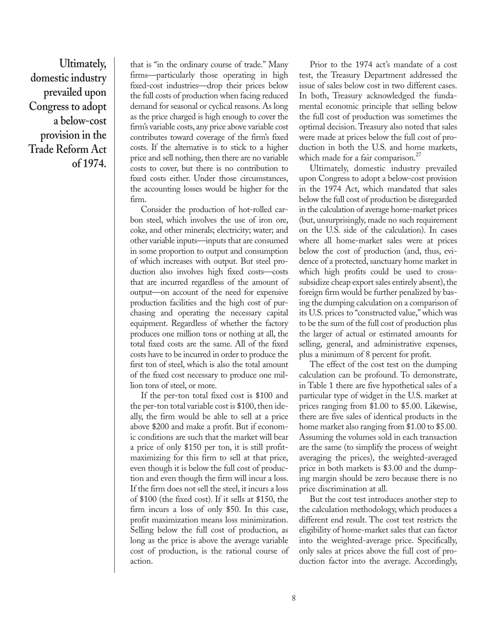**Ultimately, domestic industry prevailed upon Congress to adopt a below-cost provision in the Trade Reform Act of 1974.**

that is "in the ordinary course of trade." Many firms—particularly those operating in high fixed-cost industries—drop their prices below the full costs of production when facing reduced demand for seasonal or cyclical reasons. As long as the price charged is high enough to cover the firm's variable costs, any price above variable cost contributes toward coverage of the firm's fixed costs. If the alternative is to stick to a higher price and sell nothing, then there are no variable costs to cover, but there is no contribution to fixed costs either. Under those circumstances, the accounting losses would be higher for the firm.

Consider the production of hot-rolled carbon steel, which involves the use of iron ore, coke, and other minerals; electricity; water; and other variable inputs—inputs that are consumed in some proportion to output and consumption of which increases with output. But steel production also involves high fixed costs—costs that are incurred regardless of the amount of output—on account of the need for expensive production facilities and the high cost of purchasing and operating the necessary capital equipment. Regardless of whether the factory produces one million tons or nothing at all, the total fixed costs are the same. All of the fixed costs have to be incurred in order to produce the first ton of steel, which is also the total amount of the fixed cost necessary to produce one million tons of steel, or more.

If the per-ton total fixed cost is \$100 and the per-ton total variable cost is \$100, then ideally, the firm would be able to sell at a price above \$200 and make a profit. But if economic conditions are such that the market will bear a price of only \$150 per ton, it is still profitmaximizing for this firm to sell at that price, even though it is below the full cost of production and even though the firm will incur a loss. If the firm does not sell the steel, it incurs a loss of \$100 (the fixed cost). If it sells at \$150, the firm incurs a loss of only \$50. In this case, profit maximization means loss minimization. Selling below the full cost of production, as long as the price is above the average variable cost of production, is the rational course of action.

Prior to the 1974 act's mandate of a cost test, the Treasury Department addressed the issue of sales below cost in two different cases. In both, Treasury acknowledged the fundamental economic principle that selling below the full cost of production was sometimes the optimal decision. Treasury also noted that sales were made at prices below the full cost of production in both the U.S. and home markets, which made for a fair comparison. $27$ 

Ultimately, domestic industry prevailed upon Congress to adopt a below-cost provision in the 1974 Act, which mandated that sales below the full cost of production be disregarded in the calculation of average home-market prices (but, unsurprisingly, made no such requirement on the U.S. side of the calculation). In cases where all home-market sales were at prices below the cost of production (and, thus, evidence of a protected, sanctuary home market in which high profits could be used to crosssubsidize cheap export sales entirely absent), the foreign firm would be further penalized by basing the dumping calculation on a comparison of its U.S. prices to "constructed value," which was to be the sum of the full cost of production plus the larger of actual or estimated amounts for selling, general, and administrative expenses, plus a minimum of 8 percent for profit.

The effect of the cost test on the dumping calculation can be profound. To demonstrate, in Table 1 there are five hypothetical sales of a particular type of widget in the U.S. market at prices ranging from \$1.00 to \$5.00. Likewise, there are five sales of identical products in the home market also ranging from \$1.00 to \$5.00. Assuming the volumes sold in each transaction are the same (to simplify the process of weight averaging the prices), the weighted-averaged price in both markets is \$3.00 and the dumping margin should be zero because there is no price discrimination at all.

But the cost test introduces another step to the calculation methodology, which produces a different end result. The cost test restricts the eligibility of home-market sales that can factor into the weighted-average price. Specifically, only sales at prices above the full cost of production factor into the average. Accordingly,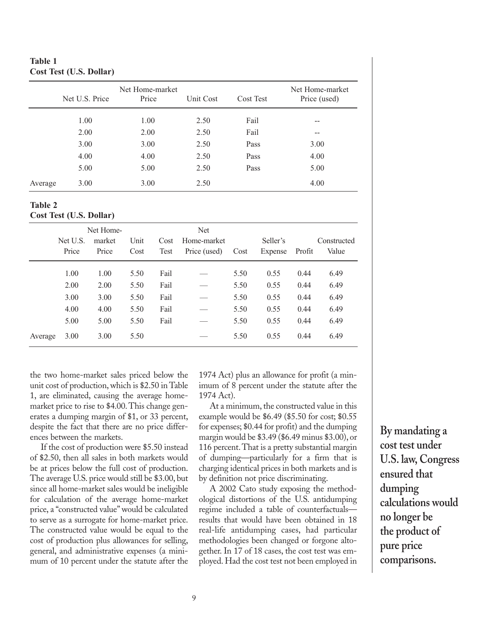#### **Table 1 Cost Test (U.S. Dollar)**

|         | Net U.S. Price | Net Home-market<br>Price | Unit Cost | Cost Test | Net Home-market<br>Price (used) |
|---------|----------------|--------------------------|-----------|-----------|---------------------------------|
|         | 1.00           | 1.00                     | 2.50      | Fail      |                                 |
|         | 2.00           | 2.00                     | 2.50      | Fail      | --                              |
|         | 3.00           | 3.00                     | 2.50      | Pass      | 3.00                            |
|         | 4.00           | 4.00                     | 2.50      | Pass      | 4.00                            |
|         | 5.00           | 5.00                     | 2.50      | Pass      | 5.00                            |
| Average | 3.00           | 3.00                     | 2.50      |           | 4.00                            |

#### **Table 2 Cost Test (U.S. Dollar)**

|         | Net Home-                  |       |      | Net                 |              |      |          |        |             |
|---------|----------------------------|-------|------|---------------------|--------------|------|----------|--------|-------------|
|         | Unit<br>Net U.S.<br>market |       |      | Home-market<br>Cost |              |      | Seller's |        | Constructed |
|         | Price                      | Price | Cost | Test                | Price (used) | Cost | Expense  | Profit | Value       |
|         | 1.00                       | 1.00  | 5.50 | Fail                |              | 5.50 | 0.55     | 0.44   | 6.49        |
|         | 2.00                       | 2.00  | 5.50 | Fail                |              | 5.50 | 0.55     | 0.44   | 6.49        |
|         | 3.00                       | 3.00  | 5.50 | Fail                |              | 5.50 | 0.55     | 0.44   | 6.49        |
|         | 4.00                       | 4.00  | 5.50 | Fail                |              | 5.50 | 0.55     | 0.44   | 6.49        |
|         | 5.00                       | 5.00  | 5.50 | Fail                |              | 5.50 | 0.55     | 0.44   | 6.49        |
| Average | 3.00                       | 3.00  | 5.50 |                     |              | 5.50 | 0.55     | 0.44   | 6.49        |

the two home-market sales priced below the unit cost of production, which is \$2.50 in Table 1, are eliminated, causing the average homemarket price to rise to \$4.00. This change generates a dumping margin of \$1, or 33 percent, despite the fact that there are no price differences between the markets.

If the cost of production were \$5.50 instead of \$2.50, then all sales in both markets would be at prices below the full cost of production. The average U.S. price would still be \$3.00, but since all home-market sales would be ineligible for calculation of the average home-market price, a "constructed value" would be calculated to serve as a surrogate for home-market price. The constructed value would be equal to the cost of production plus allowances for selling, general, and administrative expenses (a minimum of 10 percent under the statute after the

1974 Act) plus an allowance for profit (a minimum of 8 percent under the statute after the 1974 Act).

At a minimum, the constructed value in this example would be \$6.49 (\$5.50 for cost; \$0.55 for expenses; \$0.44 for profit) and the dumping margin would be \$3.49 (\$6.49 minus \$3.00), or 116 percent. That is a pretty substantial margin of dumping—particularly for a firm that is charging identical prices in both markets and is by definition not price discriminating.

A 2002 Cato study exposing the methodological distortions of the U.S. antidumping regime included a table of counterfactuals results that would have been obtained in 18 real-life antidumping cases, had particular methodologies been changed or forgone altogether. In 17 of 18 cases, the cost test was employed. Had the cost test not been employed in **By mandating a cost test under U.S. law, Congress ensured that dumping calculations would no longer be the product of pure price comparisons.**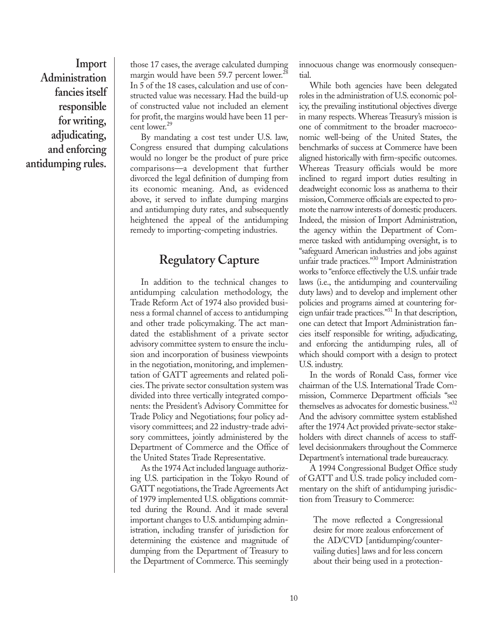**Import Administration fancies itself responsible for writing, adjudicating, and enforcing antidumping rules.**

those 17 cases, the average calculated dumping margin would have been 59.7 percent lower.<sup>28</sup> In 5 of the 18 cases, calculation and use of constructed value was necessary. Had the build-up of constructed value not included an element for profit, the margins would have been 11 percent lower.<sup>29</sup>

By mandating a cost test under U.S. law, Congress ensured that dumping calculations would no longer be the product of pure price comparisons—a development that further divorced the legal definition of dumping from its economic meaning. And, as evidenced above, it served to inflate dumping margins and antidumping duty rates, and subsequently heightened the appeal of the antidumping remedy to importing-competing industries.

### **Regulatory Capture**

In addition to the technical changes to antidumping calculation methodology, the Trade Reform Act of 1974 also provided business a formal channel of access to antidumping and other trade policymaking. The act mandated the establishment of a private sector advisory committee system to ensure the inclusion and incorporation of business viewpoints in the negotiation, monitoring, and implementation of GATT agreements and related policies. The private sector consultation system was divided into three vertically integrated components: the President's Advisory Committee for Trade Policy and Negotiations; four policy advisory committees; and 22 industry-trade advisory committees, jointly administered by the Department of Commerce and the Office of the United States Trade Representative.

As the 1974 Act included language authorizing U.S. participation in the Tokyo Round of GATT negotiations, the Trade Agreements Act of 1979 implemented U.S. obligations committed during the Round. And it made several important changes to U.S. antidumping administration, including transfer of jurisdiction for determining the existence and magnitude of dumping from the Department of Treasury to the Department of Commerce. This seemingly

innocuous change was enormously consequential.

While both agencies have been delegated roles in the administration of U.S. economic policy, the prevailing institutional objectives diverge in many respects. Whereas Treasury's mission is one of commitment to the broader macroeconomic well-being of the United States, the benchmarks of success at Commerce have been aligned historically with firm-specific outcomes. Whereas Treasury officials would be more inclined to regard import duties resulting in deadweight economic loss as anathema to their mission, Commerce officials are expected to promote the narrow interests of domestic producers. Indeed, the mission of Import Administration, the agency within the Department of Commerce tasked with antidumping oversight, is to "safeguard American industries and jobs against unfair trade practices."<sup>30</sup> Import Administration works to "enforce effectively the U.S. unfair trade laws (i.e., the antidumping and countervailing duty laws) and to develop and implement other policies and programs aimed at countering foreign unfair trade practices."<sup>31</sup> In that description, one can detect that Import Administration fancies itself responsible for writing, adjudicating, and enforcing the antidumping rules, all of which should comport with a design to protect U.S. industry.

In the words of Ronald Cass, former vice chairman of the U.S. International Trade Commission, Commerce Department officials "see themselves as advocates for domestic business."<sup>32</sup> And the advisory committee system established after the 1974 Act provided private-sector stakeholders with direct channels of access to stafflevel decisionmakers throughout the Commerce Department's international trade bureaucracy.

A 1994 Congressional Budget Office study of GATT and U.S. trade policy included commentary on the shift of antidumping jurisdiction from Treasury to Commerce:

The move reflected a Congressional desire for more zealous enforcement of the AD/CVD [antidumping/countervailing duties] laws and for less concern about their being used in a protection-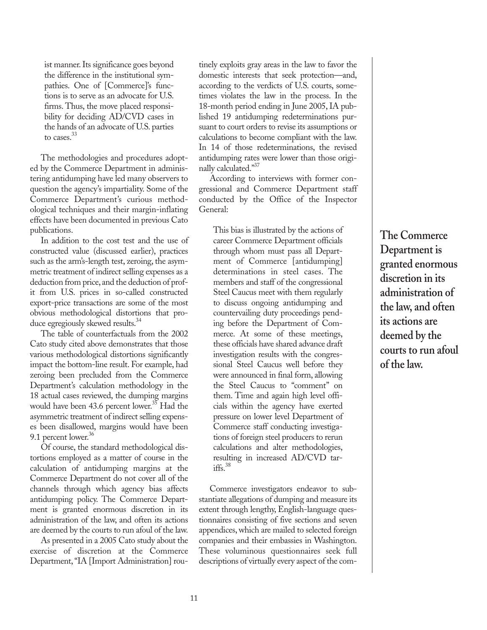ist manner. Its significance goes beyond the difference in the institutional sympathies. One of [Commerce]'s functions is to serve as an advocate for U.S. firms. Thus, the move placed responsibility for deciding AD/CVD cases in the hands of an advocate of U.S. parties to cases.<sup>33</sup>

The methodologies and procedures adopted by the Commerce Department in administering antidumping have led many observers to question the agency's impartiality. Some of the Commerce Department's curious methodological techniques and their margin-inflating effects have been documented in previous Cato publications.

In addition to the cost test and the use of constructed value (discussed earlier), practices such as the arm's-length test, zeroing, the asymmetric treatment of indirect selling expenses as a deduction from price, and the deduction of profit from U.S. prices in so-called constructed export-price transactions are some of the most obvious methodological distortions that produce egregiously skewed results.<sup>34</sup>

The table of counterfactuals from the 2002 Cato study cited above demonstrates that those various methodological distortions significantly impact the bottom-line result. For example, had zeroing been precluded from the Commerce Department's calculation methodology in the 18 actual cases reviewed, the dumping margins would have been 43.6 percent lower.<sup>35</sup> Had the asymmetric treatment of indirect selling expenses been disallowed, margins would have been 9.1 percent lower.<sup>36</sup>

Of course, the standard methodological distortions employed as a matter of course in the calculation of antidumping margins at the Commerce Department do not cover all of the channels through which agency bias affects antidumping policy. The Commerce Department is granted enormous discretion in its administration of the law, and often its actions are deemed by the courts to run afoul of the law.

As presented in a 2005 Cato study about the exercise of discretion at the Commerce Department, "IA [Import Administration] routinely exploits gray areas in the law to favor the domestic interests that seek protection—and, according to the verdicts of U.S. courts, sometimes violates the law in the process. In the 18-month period ending in June 2005, IA published 19 antidumping redeterminations pursuant to court orders to revise its assumptions or calculations to become compliant with the law. In 14 of those redeterminations, the revised antidumping rates were lower than those originally calculated."37

According to interviews with former congressional and Commerce Department staff conducted by the Office of the Inspector General:

This bias is illustrated by the actions of career Commerce Department officials through whom must pass all Department of Commerce [antidumping] determinations in steel cases. The members and staff of the congressional Steel Caucus meet with them regularly to discuss ongoing antidumping and countervailing duty proceedings pending before the Department of Commerce. At some of these meetings, these officials have shared advance draft investigation results with the congressional Steel Caucus well before they were announced in final form, allowing the Steel Caucus to "comment" on them. Time and again high level officials within the agency have exerted pressure on lower level Department of Commerce staff conducting investigations of foreign steel producers to rerun calculations and alter methodologies, resulting in increased AD/CVD tar $iffs.<sup>38</sup>$ 

Commerce investigators endeavor to substantiate allegations of dumping and measure its extent through lengthy, English-language questionnaires consisting of five sections and seven appendices, which are mailed to selected foreign companies and their embassies in Washington. These voluminous questionnaires seek full descriptions of virtually every aspect of the com**The Commerce Department is granted enormous discretion in its administration of the law, and often its actions are deemed by the courts to run afoul of the law.**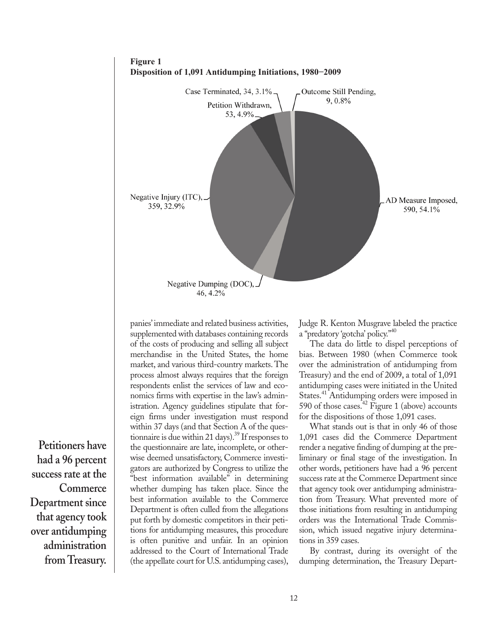

panies' immediate and related business activities, supplemented with databases containing records of the costs of producing and selling all subject merchandise in the United States, the home market, and various third-country markets. The process almost always requires that the foreign respondents enlist the services of law and economics firms with expertise in the law's administration. Agency guidelines stipulate that foreign firms under investigation must respond within 37 days (and that Section A of the questionnaire is due within 21 days).<sup>39</sup> If responses to the questionnaire are late, incomplete, or otherwise deemed unsatisfactory, Commerce investigators are authorized by Congress to utilize the "best information available" in determining whether dumping has taken place. Since the best information available to the Commerce Department is often culled from the allegations put forth by domestic competitors in their petitions for antidumping measures, this procedure is often punitive and unfair. In an opinion addressed to the Court of International Trade (the appellate court for U.S. antidumping cases),

Judge R. Kenton Musgrave labeled the practice a "predatory 'gotcha' policy."40

The data do little to dispel perceptions of bias. Between 1980 (when Commerce took over the administration of antidumping from Treasury) and the end of 2009, a total of 1,091 antidumping cases were initiated in the United States.<sup>41</sup> Antidumping orders were imposed in 590 of those cases.<sup>42</sup> Figure 1 (above) accounts for the dispositions of those 1,091 cases.

What stands out is that in only 46 of those 1,091 cases did the Commerce Department render a negative finding of dumping at the preliminary or final stage of the investigation. In other words, petitioners have had a 96 percent success rate at the Commerce Department since that agency took over antidumping administration from Treasury. What prevented more of those initiations from resulting in antidumping orders was the International Trade Commission, which issued negative injury determinations in 359 cases.

By contrast, during its oversight of the dumping determination, the Treasury Depart-

**Petitioners have had a 96 percent success rate at the Commerce Department since that agency took over antidumping administration from Treasury.**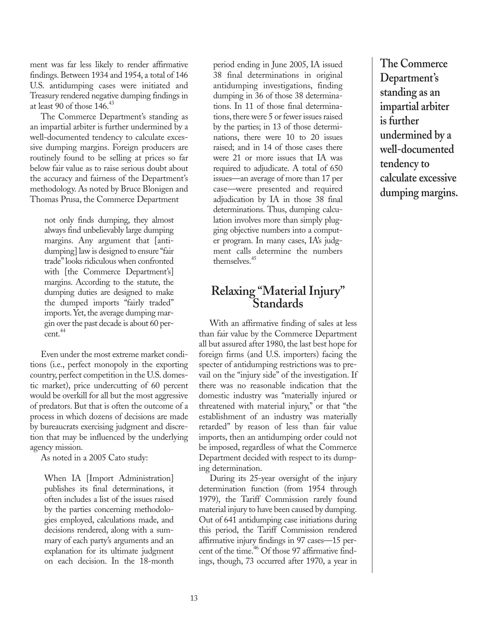ment was far less likely to render affirmative findings. Between 1934 and 1954, a total of 146 U.S. antidumping cases were initiated and Treasury rendered negative dumping findings in at least 90 of those  $146<sup>43</sup>$ 

The Commerce Department's standing as an impartial arbiter is further undermined by a well-documented tendency to calculate excessive dumping margins. Foreign producers are routinely found to be selling at prices so far below fair value as to raise serious doubt about the accuracy and fairness of the Department's methodology. As noted by Bruce Blonigen and Thomas Prusa, the Commerce Department

not only finds dumping, they almost always find unbelievably large dumping margins. Any argument that [antidumping] law is designed to ensure "fair trade" looks ridiculous when confronted with [the Commerce Department's] margins. According to the statute, the dumping duties are designed to make the dumped imports "fairly traded" imports. Yet, the average dumping margin over the past decade is about 60 per $cent.<sup>44</sup>$ 

Even under the most extreme market conditions (i.e., perfect monopoly in the exporting country, perfect competition in the U.S. domestic market), price undercutting of 60 percent would be overkill for all but the most aggressive of predators. But that is often the outcome of a process in which dozens of decisions are made by bureaucrats exercising judgment and discretion that may be influenced by the underlying agency mission.

As noted in a 2005 Cato study:

When IA [Import Administration] publishes its final determinations, it often includes a list of the issues raised by the parties concerning methodologies employed, calculations made, and decisions rendered, along with a summary of each party's arguments and an explanation for its ultimate judgment on each decision. In the 18-month period ending in June 2005, IA issued 38 final determinations in original antidumping investigations, finding dumping in 36 of those 38 determinations. In 11 of those final determinations, there were 5 or fewer issues raised by the parties; in 13 of those determinations, there were 10 to 20 issues raised; and in 14 of those cases there were 21 or more issues that IA was required to adjudicate. A total of 650 issues—an average of more than 17 per case—were presented and required adjudication by IA in those 38 final determinations. Thus, dumping calculation involves more than simply plugging objective numbers into a computer program. In many cases, IA's judgment calls determine the numbers themselves.<sup>45</sup>

#### **Relaxing "Material Injury" Standards**

With an affirmative finding of sales at less than fair value by the Commerce Department all but assured after 1980, the last best hope for foreign firms (and U.S. importers) facing the specter of antidumping restrictions was to prevail on the "injury side" of the investigation. If there was no reasonable indication that the domestic industry was "materially injured or threatened with material injury," or that "the establishment of an industry was materially retarded" by reason of less than fair value imports, then an antidumping order could not be imposed, regardless of what the Commerce Department decided with respect to its dumping determination.

During its 25-year oversight of the injury determination function (from 1954 through 1979), the Tariff Commission rarely found material injury to have been caused by dumping. Out of 641 antidumping case initiations during this period, the Tariff Commission rendered affirmative injury findings in 97 cases—15 percent of the time.<sup>46</sup> Of those 97 affirmative findings, though, 73 occurred after 1970, a year in

**The Commerce Department's standing as an impartial arbiter is further undermined by a well-documented tendency to calculate excessive dumping margins.**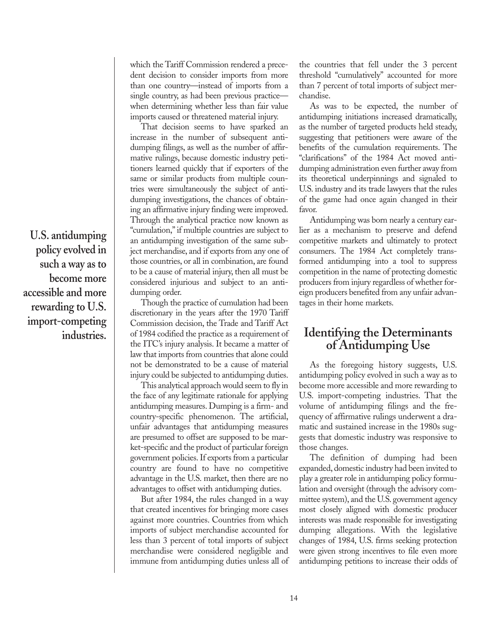**U.S. antidumping policy evolved in such a way as to become more accessible and more rewarding to U.S. import-competing industries.**

which the Tariff Commission rendered a precedent decision to consider imports from more than one country—instead of imports from a single country, as had been previous practice when determining whether less than fair value imports caused or threatened material injury.

That decision seems to have sparked an increase in the number of subsequent antidumping filings, as well as the number of affirmative rulings, because domestic industry petitioners learned quickly that if exporters of the same or similar products from multiple countries were simultaneously the subject of antidumping investigations, the chances of obtaining an affirmative injury finding were improved. Through the analytical practice now known as "cumulation," if multiple countries are subject to an antidumping investigation of the same subject merchandise, and if exports from any one of those countries, or all in combination, are found to be a cause of material injury, then all must be considered injurious and subject to an antidumping order.

Though the practice of cumulation had been discretionary in the years after the 1970 Tariff Commission decision, the Trade and Tariff Act of 1984 codified the practice as a requirement of the ITC's injury analysis. It became a matter of law that imports from countries that alone could not be demonstrated to be a cause of material injury could be subjected to antidumping duties.

This analytical approach would seem to fly in the face of any legitimate rationale for applying antidumping measures. Dumping is a firm- and country-specific phenomenon. The artificial, unfair advantages that antidumping measures are presumed to offset are supposed to be market-specific and the product of particular foreign government policies. If exports from a particular country are found to have no competitive advantage in the U.S. market, then there are no advantages to offset with antidumping duties.

But after 1984, the rules changed in a way that created incentives for bringing more cases against more countries. Countries from which imports of subject merchandise accounted for less than 3 percent of total imports of subject merchandise were considered negligible and immune from antidumping duties unless all of the countries that fell under the 3 percent threshold "cumulatively" accounted for more than 7 percent of total imports of subject merchandise.

As was to be expected, the number of antidumping initiations increased dramatically, as the number of targeted products held steady, suggesting that petitioners were aware of the benefits of the cumulation requirements. The "clarifications" of the 1984 Act moved antidumping administration even further away from its theoretical underpinnings and signaled to U.S. industry and its trade lawyers that the rules of the game had once again changed in their favor.

Antidumping was born nearly a century earlier as a mechanism to preserve and defend competitive markets and ultimately to protect consumers. The 1984 Act completely transformed antidumping into a tool to suppress competition in the name of protecting domestic producers from injury regardless of whether foreign producers benefited from any unfair advantages in their home markets.

#### **Identifying the Determinants of Antidumping Use**

As the foregoing history suggests, U.S. antidumping policy evolved in such a way as to become more accessible and more rewarding to U.S. import-competing industries. That the volume of antidumping filings and the frequency of affirmative rulings underwent a dramatic and sustained increase in the 1980s suggests that domestic industry was responsive to those changes.

The definition of dumping had been expanded, domestic industry had been invited to play a greater role in antidumping policy formulation and oversight (through the advisory committee system), and the U.S. government agency most closely aligned with domestic producer interests was made responsible for investigating dumping allegations. With the legislative changes of 1984, U.S. firms seeking protection were given strong incentives to file even more antidumping petitions to increase their odds of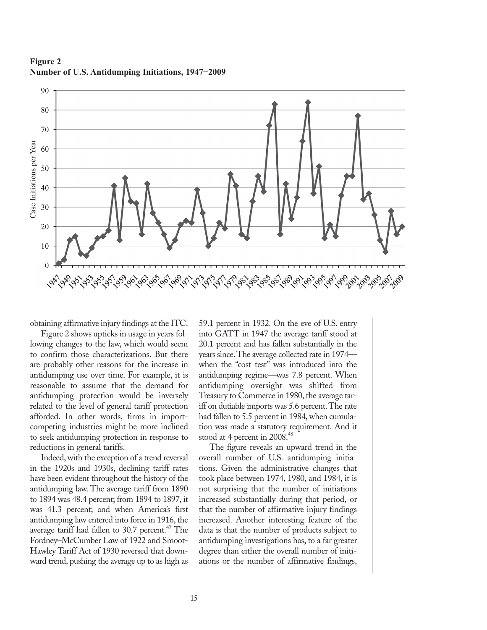

**Figure 2 Number of U.S. Antidumping Initiations, 1947−2009**

obtaining affirmative injury findings at the ITC.

Figure 2 shows upticks in usage in years following changes to the law, which would seem to confirm those characterizations. But there are probably other reasons for the increase in antidumping use over time. For example, it is reasonable to assume that the demand for antidumping protection would be inversely related to the level of general tariff protection afforded. In other words, firms in importcompeting industries might be more inclined to seek antidumping protection in response to reductions in general tariffs.

Indeed, with the exception of a trend reversal in the 1920s and 1930s, declining tariff rates have been evident throughout the history of the antidumping law. The average tariff from 1890 to 1894 was 48.4 percent; from 1894 to 1897, it was 41.3 percent; and when America's first antidumping law entered into force in 1916, the average tariff had fallen to 30.7 percent.<sup> $47$ </sup> The Fordney–McCumber Law of 1922 and Smoot-Hawley Tariff Act of 1930 reversed that downward trend, pushing the average up to as high as 59.1 percent in 1932. On the eve of U.S. entry into GATT in 1947 the average tariff stood at 20.1 percent and has fallen substantially in the years since. The average collected rate in 1974 when the "cost test" was introduced into the antidumping regime—was 7.8 percent. When antidumping oversight was shifted from Treasury to Commerce in 1980, the average tariff on dutiable imports was 5.6 percent. The rate had fallen to 5.5 percent in 1984, when cumulation was made a statutory requirement. And it stood at 4 percent in 2008.<sup>48</sup>

The figure reveals an upward trend in the overall number of U.S. antidumping initiations. Given the administrative changes that took place between 1974, 1980, and 1984, it is not surprising that the number of initiations increased substantially during that period, or that the number of affirmative injury findings increased. Another interesting feature of the data is that the number of products subject to antidumping investigations has, to a far greater degree than either the overall number of initiations or the number of affirmative findings,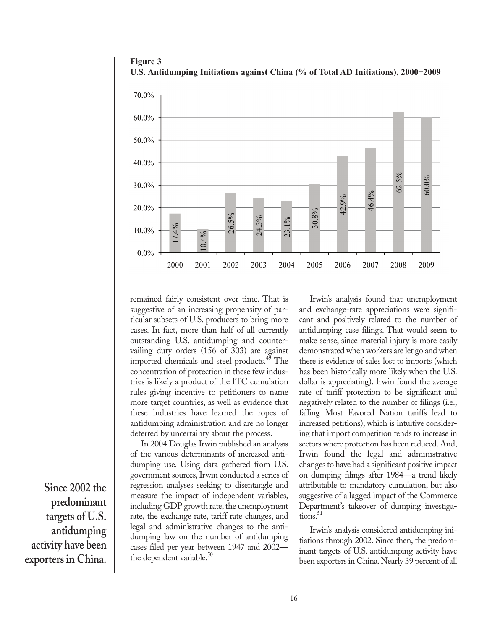

**Figure 3 U.S. Antidumping Initiations against China (% of Total AD Initiations), 2000−2009**

remained fairly consistent over time. That is suggestive of an increasing propensity of particular subsets of U.S. producers to bring more cases. In fact, more than half of all currently outstanding U.S. antidumping and countervailing duty orders (156 of 303) are against imported chemicals and steel products.<sup>49</sup> The concentration of protection in these few industries is likely a product of the ITC cumulation rules giving incentive to petitioners to name more target countries, as well as evidence that these industries have learned the ropes of antidumping administration and are no longer deterred by uncertainty about the process.

In 2004 Douglas Irwin published an analysis of the various determinants of increased antidumping use. Using data gathered from U.S. government sources, Irwin conducted a series of regression analyses seeking to disentangle and measure the impact of independent variables, including GDP growth rate, the unemployment rate, the exchange rate, tariff rate changes, and legal and administrative changes to the antidumping law on the number of antidumping cases filed per year between 1947 and 2002 the dependent variable. $50$ 

Irwin's analysis found that unemployment and exchange-rate appreciations were significant and positively related to the number of antidumping case filings. That would seem to make sense, since material injury is more easily demonstrated when workers are let go and when there is evidence of sales lost to imports (which has been historically more likely when the U.S. dollar is appreciating). Irwin found the average rate of tariff protection to be significant and negatively related to the number of filings (i.e., falling Most Favored Nation tariffs lead to increased petitions), which is intuitive considering that import competition tends to increase in sectors where protection has been reduced. And, Irwin found the legal and administrative changes to have had a significant positive impact on dumping filings after 1984—a trend likely attributable to mandatory cumulation, but also suggestive of a lagged impact of the Commerce Department's takeover of dumping investiga $tions.<sup>51</sup>$ 

Irwin's analysis considered antidumping initiations through 2002. Since then, the predominant targets of U.S. antidumping activity have been exporters in China. Nearly 39 percent of all

**Since 2002 the predominant targets of U.S. antidumping activity have been exporters in China.**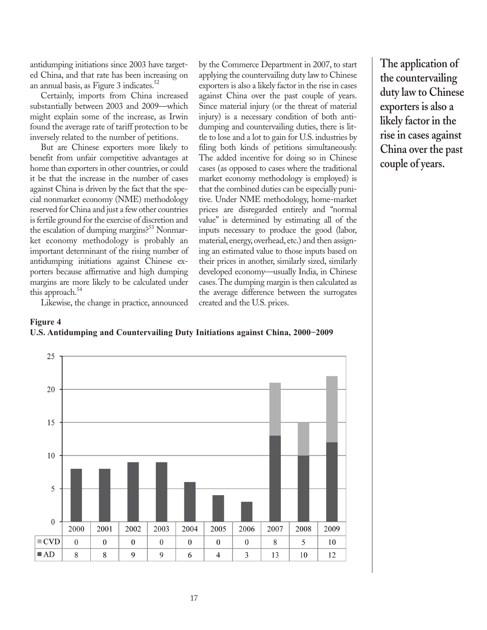antidumping initiations since 2003 have targeted China, and that rate has been increasing on an annual basis, as Figure 3 indicates. $52$ 

Certainly, imports from China increased substantially between 2003 and 2009—which might explain some of the increase, as Irwin found the average rate of tariff protection to be inversely related to the number of petitions.

But are Chinese exporters more likely to benefit from unfair competitive advantages at home than exporters in other countries, or could it be that the increase in the number of cases against China is driven by the fact that the special nonmarket economy (NME) methodology reserved for China and just a few other countries is fertile ground for the exercise of discretion and the escalation of dumping margins?<sup>53</sup> Nonmarket economy methodology is probably an important determinant of the rising number of antidumping initiations against Chinese exporters because affirmative and high dumping margins are more likely to be calculated under this approach.<sup>54</sup>

by the Commerce Department in 2007, to start applying the countervailing duty law to Chinese exporters is also a likely factor in the rise in cases against China over the past couple of years. Since material injury (or the threat of material injury) is a necessary condition of both antidumping and countervailing duties, there is little to lose and a lot to gain for U.S. industries by filing both kinds of petitions simultaneously. The added incentive for doing so in Chinese cases (as opposed to cases where the traditional market economy methodology is employed) is that the combined duties can be especially punitive. Under NME methodology, home-market prices are disregarded entirely and "normal value" is determined by estimating all of the inputs necessary to produce the good (labor, material, energy, overhead, etc.) and then assigning an estimated value to those inputs based on their prices in another, similarly sized, similarly developed economy—usually India, in Chinese cases. The dumping margin is then calculated as the average difference between the surrogates created and the U.S. prices.

**The application of the countervailing duty law to Chinese exporters is also a likely factor in the rise in cases against China over the past couple of years.**

Likewise, the change in practice, announced



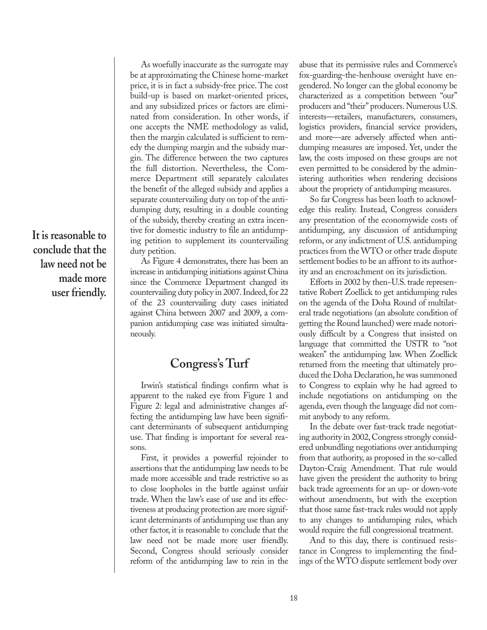**It is reasonable to conclude that the law need not be made more user friendly.**

As woefully inaccurate as the surrogate may be at approximating the Chinese home-market price, it is in fact a subsidy-free price. The cost build-up is based on market-oriented prices, and any subsidized prices or factors are eliminated from consideration. In other words, if one accepts the NME methodology as valid, then the margin calculated is sufficient to remedy the dumping margin and the subsidy margin. The difference between the two captures the full distortion. Nevertheless, the Commerce Department still separately calculates the benefit of the alleged subsidy and applies a separate countervailing duty on top of the antidumping duty, resulting in a double counting of the subsidy, thereby creating an extra incentive for domestic industry to file an antidumping petition to supplement its countervailing duty petition.

As Figure 4 demonstrates, there has been an increase in antidumping initiations against China since the Commerce Department changed its countervailing duty policy in 2007. Indeed, for 22 of the 23 countervailing duty cases initiated against China between 2007 and 2009, a companion antidumping case was initiated simultaneously.

#### **Congress's Turf**

Irwin's statistical findings confirm what is apparent to the naked eye from Figure 1 and Figure 2: legal and administrative changes affecting the antidumping law have been significant determinants of subsequent antidumping use. That finding is important for several reasons.

First, it provides a powerful rejoinder to assertions that the antidumping law needs to be made more accessible and trade restrictive so as to close loopholes in the battle against unfair trade. When the law's ease of use and its effectiveness at producing protection are more significant determinants of antidumping use than any other factor, it is reasonable to conclude that the law need not be made more user friendly. Second, Congress should seriously consider reform of the antidumping law to rein in the abuse that its permissive rules and Commerce's fox-guarding-the-henhouse oversight have engendered. No longer can the global economy be characterized as a competition between "our" producers and "their" producers. Numerous U.S. interests—retailers, manufacturers, consumers, logistics providers, financial service providers, and more—are adversely affected when antidumping measures are imposed. Yet, under the law, the costs imposed on these groups are not even permitted to be considered by the administering authorities when rendering decisions about the propriety of antidumping measures.

So far Congress has been loath to acknowledge this reality. Instead, Congress considers any presentation of the economywide costs of antidumping, any discussion of antidumping reform, or any indictment of U.S. antidumping practices from the WTO or other trade dispute settlement bodies to be an affront to its authority and an encroachment on its jurisdiction.

Efforts in 2002 by then−U.S. trade representative Robert Zoellick to get antidumping rules on the agenda of the Doha Round of multilateral trade negotiations (an absolute condition of getting the Round launched) were made notoriously difficult by a Congress that insisted on language that committed the USTR to "not weaken" the antidumping law. When Zoellick returned from the meeting that ultimately produced the Doha Declaration, he was summoned to Congress to explain why he had agreed to include negotiations on antidumping on the agenda, even though the language did not commit anybody to any reform.

In the debate over fast-track trade negotiating authority in 2002, Congress strongly considered unbundling negotiations over antidumping from that authority, as proposed in the so-called Dayton-Craig Amendment. That rule would have given the president the authority to bring back trade agreements for an up- or down-vote without amendments, but with the exception that those same fast-track rules would not apply to any changes to antidumping rules, which would require the full congressional treatment.

And to this day, there is continued resistance in Congress to implementing the findings of the WTO dispute settlement body over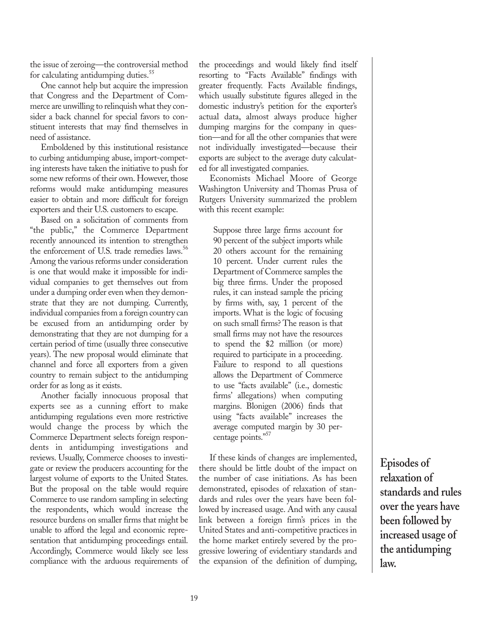the issue of zeroing—the controversial method for calculating antidumping duties.<sup>55</sup>

One cannot help but acquire the impression that Congress and the Department of Commerce are unwilling to relinquish what they consider a back channel for special favors to constituent interests that may find themselves in need of assistance.

Emboldened by this institutional resistance to curbing antidumping abuse, import-competing interests have taken the initiative to push for some new reforms of their own. However, those reforms would make antidumping measures easier to obtain and more difficult for foreign exporters and their U.S. customers to escape.

Based on a solicitation of comments from "the public," the Commerce Department recently announced its intention to strengthen the enforcement of U.S. trade remedies laws.<sup>56</sup> Among the various reforms under consideration is one that would make it impossible for individual companies to get themselves out from under a dumping order even when they demonstrate that they are not dumping. Currently, individual companies from a foreign country can be excused from an antidumping order by demonstrating that they are not dumping for a certain period of time (usually three consecutive years). The new proposal would eliminate that channel and force all exporters from a given country to remain subject to the antidumping order for as long as it exists.

Another facially innocuous proposal that experts see as a cunning effort to make antidumping regulations even more restrictive would change the process by which the Commerce Department selects foreign respondents in antidumping investigations and reviews. Usually, Commerce chooses to investigate or review the producers accounting for the largest volume of exports to the United States. But the proposal on the table would require Commerce to use random sampling in selecting the respondents, which would increase the resource burdens on smaller firms that might be unable to afford the legal and economic representation that antidumping proceedings entail. Accordingly, Commerce would likely see less compliance with the arduous requirements of the proceedings and would likely find itself resorting to "Facts Available" findings with greater frequently. Facts Available findings, which usually substitute figures alleged in the domestic industry's petition for the exporter's actual data, almost always produce higher dumping margins for the company in question—and for all the other companies that were not individually investigated—because their exports are subject to the average duty calculated for all investigated companies.

Economists Michael Moore of George Washington University and Thomas Prusa of Rutgers University summarized the problem with this recent example:

Suppose three large firms account for 90 percent of the subject imports while 20 others account for the remaining 10 percent. Under current rules the Department of Commerce samples the big three firms. Under the proposed rules, it can instead sample the pricing by firms with, say, 1 percent of the imports. What is the logic of focusing on such small firms? The reason is that small firms may not have the resources to spend the \$2 million (or more) required to participate in a proceeding. Failure to respond to all questions allows the Department of Commerce to use "facts available" (i.e., domestic firms' allegations) when computing margins. Blonigen (2006) finds that using "facts available" increases the average computed margin by 30 percentage points."<sup>57</sup>

If these kinds of changes are implemented, there should be little doubt of the impact on the number of case initiations. As has been demonstrated, episodes of relaxation of standards and rules over the years have been followed by increased usage. And with any causal link between a foreign firm's prices in the United States and anti-competitive practices in the home market entirely severed by the progressive lowering of evidentiary standards and the expansion of the definition of dumping,

**Episodes of relaxation of standards and rules over the years have been followed by increased usage of the antidumping law.**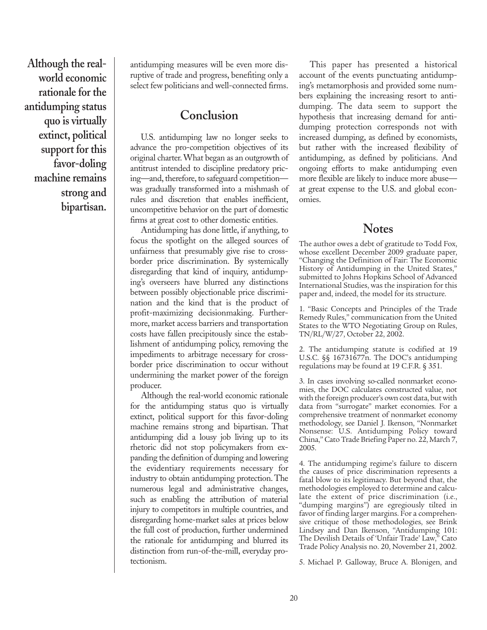**Although the realworld economic rationale for the antidumping status quo is virtually extinct, political support for this favor-doling machine remains strong and bipartisan.** 

antidumping measures will be even more disruptive of trade and progress, benefiting only a select few politicians and well-connected firms.

#### **Conclusion**

U.S. antidumping law no longer seeks to advance the pro-competition objectives of its original charter. What began as an outgrowth of antitrust intended to discipline predatory pricing—and, therefore, to safeguard competition was gradually transformed into a mishmash of rules and discretion that enables inefficient, uncompetitive behavior on the part of domestic firms at great cost to other domestic entities.

Antidumping has done little, if anything, to focus the spotlight on the alleged sources of unfairness that presumably give rise to crossborder price discrimination. By systemically disregarding that kind of inquiry, antidumping's overseers have blurred any distinctions between possibly objectionable price discrimination and the kind that is the product of profit-maximizing decisionmaking. Furthermore, market access barriers and transportation costs have fallen precipitously since the establishment of antidumping policy, removing the impediments to arbitrage necessary for crossborder price discrimination to occur without undermining the market power of the foreign producer.

Although the real-world economic rationale for the antidumping status quo is virtually extinct, political support for this favor-doling machine remains strong and bipartisan. That antidumping did a lousy job living up to its rhetoric did not stop policymakers from expanding the definition of dumping and lowering the evidentiary requirements necessary for industry to obtain antidumping protection. The numerous legal and administrative changes, such as enabling the attribution of material injury to competitors in multiple countries, and disregarding home-market sales at prices below the full cost of production, further undermined the rationale for antidumping and blurred its distinction from run-of-the-mill, everyday protectionism.

This paper has presented a historical account of the events punctuating antidumping's metamorphosis and provided some numbers explaining the increasing resort to antidumping. The data seem to support the hypothesis that increasing demand for antidumping protection corresponds not with increased dumping, as defined by economists, but rather with the increased flexibility of antidumping, as defined by politicians. And ongoing efforts to make antidumping even more flexible are likely to induce more abuse at great expense to the U.S. and global economies.

#### **Notes**

The author owes a debt of gratitude to Todd Fox, whose excellent December 2009 graduate paper, "Changing the Definition of Fair: The Economic History of Antidumping in the United States," submitted to Johns Hopkins School of Advanced International Studies, was the inspiration for this paper and, indeed, the model for its structure.

1. "Basic Concepts and Principles of the Trade Remedy Rules," communication from the United States to the WTO Negotiating Group on Rules, TN/RL/W/27, October 22, 2002.

2. The antidumping statute is codified at 19 U.S.C. §§ 1673 1677n. The DOC's antidumping regulations may be found at 19 C.F.R. § 351.

3. In cases involving so-called nonmarket economies, the DOC calculates constructed value, not with the foreign producer's own cost data, but with data from "surrogate" market economies. For a comprehensive treatment of nonmarket economy methodology, see Daniel J. Ikenson, "Nonmarket Nonsense: U.S. Antidumping Policy toward China," Cato Trade Briefing Paper no. 22, March 7, 2005.

4. The antidumping regime's failure to discern the causes of price discrimination represents a fatal blow to its legitimacy. But beyond that, the methodologies employed to determine and calculate the extent of price discrimination (i.e., "dumping margins") are egregiously tilted in favor of finding larger margins. For a comprehensive critique of those methodologies, see Brink Lindsey and Dan Ikenson, "Antidumping 101: The Devilish Details of 'Unfair Trade' Law," Cato Trade Policy Analysis no. 20, November 21, 2002.

5. Michael P. Galloway, Bruce A. Blonigen, and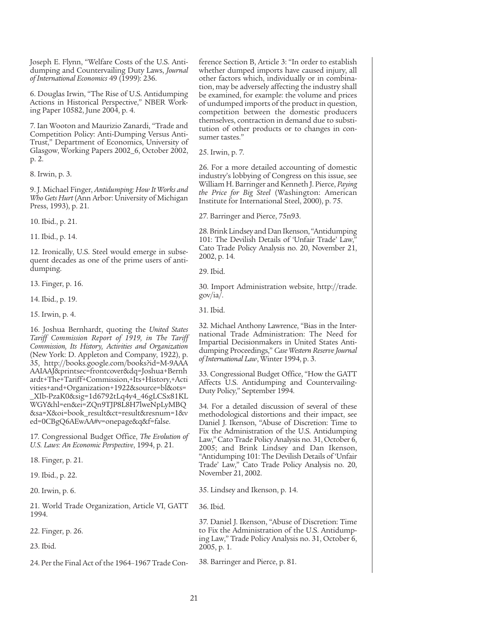Joseph E. Flynn, "Welfare Costs of the U.S. Antidumping and Countervailing Duty Laws, *Journal of International Economics* 49 (1999): 236.

6. Douglas Irwin, "The Rise of U.S. Antidumping Actions in Historical Perspective," NBER Working Paper 10582, June 2004, p. 4.

7. Ian Wooton and Maurizio Zanardi, "Trade and Competition Policy: Anti-Dumping Versus Anti-Trust," Department of Economics, University of Glasgow, Working Papers 2002\_6, October 2002, p. 2.

8. Irwin, p. 3.

9. J. Michael Finger, *Antidumping: How It Works and Who Gets Hurt* (Ann Arbor: University of Michigan Press, 1993), p. 21.

10. Ibid., p. 21.

11. Ibid., p. 14.

12. Ironically, U.S. Steel would emerge in subsequent decades as one of the prime users of antidumping.

13. Finger, p. 16.

14. Ibid., p. 19.

15. Irwin, p. 4.

16. Joshua Bernhardt, quoting the *United States Tariff Commission Report of 1919, in The Tariff Commission, Its History, Activities and Organization* (New York: D. Appleton and Company, 1922), p. 35, http://books.google.com/books?id=M-9AAA AAIAAJ&printsec=frontcover&dq=Joshua+Bernh ardt+The+Tariff+Commission,+Its+History,+Acti vities+and+Organization+1922&source=bl&ots= \_XIb-PzaK0&sig=1d6792tLq4y4\_46gLCSx81KL WGY&hl=en&ei=ZQn9TJP8L8H7lweNpLyMBQ &sa=X&oi=book\_result&ct=result&resnum=1&v ed=0CBgQ6AEwAA#v=onepage&q&f=false.

17. Congressional Budget Office, *The Evolution of U.S. Laws: An Economic Perspective*, 1994, p. 21.

18. Finger, p. 21.

19. Ibid., p. 22.

20. Irwin, p. 6.

21. World Trade Organization, Article VI, GATT 1994.

22. Finger, p. 26.

23. Ibid.

24. Per the Final Act of the 1964–1967 Trade Con-

ference Section B, Article 3: "In order to establish whether dumped imports have caused injury, all other factors which, individually or in combination, may be adversely affecting the industry shall be examined, for example: the volume and prices of undumped imports of the product in question, competition between the domestic producers themselves, contraction in demand due to substitution of other products or to changes in consumer tastes."

25. Irwin, p. 7.

26. For a more detailed accounting of domestic industry's lobbying of Congress on this issue, see William H. Barringer and Kenneth J. Pierce, *Paying the Price for Big Steel* (Washington: American Institute for International Steel, 2000), p. 75.

27. Barringer and Pierce, 75n93.

28. Brink Lindsey and Dan Ikenson, "Antidumping 101: The Devilish Details of 'Unfair Trade' Law, Cato Trade Policy Analysis no. 20, November 21, 2002, p. 14.

29. Ibid.

30. Import Administration website, http://trade. gov/ia/.

31. Ibid.

32. Michael Anthony Lawrence, "Bias in the International Trade Administration: The Need for Impartial Decisionmakers in United States Antidumping Proceedings," *Case Western Reserve Journal of International Law*, Winter 1994, p. 3.

33. Congressional Budget Office, "How the GATT Affects U.S. Antidumping and Countervailing-Duty Policy," September 1994.

34. For a detailed discussion of several of these methodological distortions and their impact, see Daniel J. Ikenson, "Abuse of Discretion: Time to Fix the Administration of the U.S. Antidumping Law," Cato Trade Policy Analysis no. 31, October 6, 2005; and Brink Lindsey and Dan Ikenson, "Antidumping 101: The Devilish Details of 'Unfair Trade' Law," Cato Trade Policy Analysis no. 20, November 21, 2002.

35. Lindsey and Ikenson, p. 14.

36. Ibid.

37. Daniel J. Ikenson, "Abuse of Discretion: Time to Fix the Administration of the U.S. Antidumping Law," Trade Policy Analysis no. 31, October 6, 2005, p. 1.

38. Barringer and Pierce, p. 81.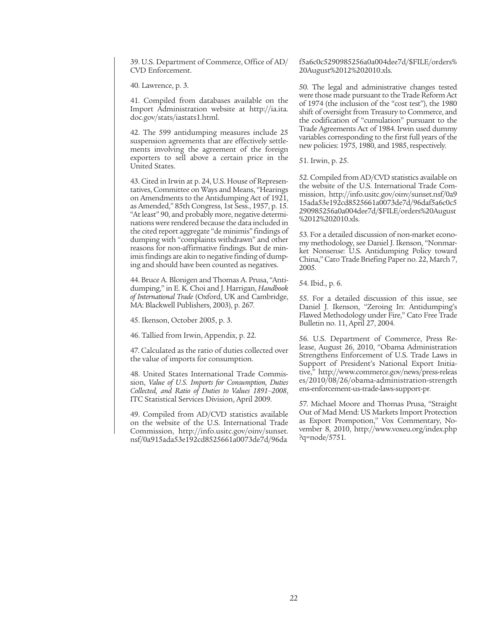39. U.S. Department of Commerce, Office of AD/ CVD Enforcement.

40. Lawrence, p. 3.

41. Compiled from databases available on the Import Administration website at http://ia.ita. doc.gov/stats/iastats1.html.

42. The 599 antidumping measures include 25 suspension agreements that are effectively settlements involving the agreement of the foreign exporters to sell above a certain price in the United States.

43. Cited in Irwin at p. 24, U.S. House of Representatives, Committee on Ways and Means, "Hearings on Amendments to the Antidumping Act of 1921, as Amended," 85th Congress, 1st Sess., 1957, p. 15. "At least" 90, and probably more, negative determinations were rendered because the data included in the cited report aggregate "de minimis" findings of dumping with "complaints withdrawn" and other reasons for non-affirmative findings. But de minimis findings are akin to negative finding of dumping and should have been counted as negatives.

44. Bruce A. Blonigen and Thomas A. Prusa, "Antidumping," in E. K. Choi and J. Harrigan, *Handbook of International Trade* (Oxford, UK and Cambridge, MA: Blackwell Publishers, 2003), p. 267.

45. Ikenson, October 2005, p. 3.

46. Tallied from Irwin, Appendix, p. 22.

47. Calculated as the ratio of duties collected over the value of imports for consumption.

48. United States International Trade Commission, *Value of U.S. Imports for Consumption, Duties Collected, and Ratio of Duties to Values 1891–2008*, ITC Statistical Services Division, April 2009.

49. Compiled from AD/CVD statistics available on the website of the U.S. International Trade Commission, http://info.usitc.gov/oinv/sunset. nsf/0a915ada53e192cd8525661a0073de7d/96da f5a6c0c5290985256a0a004dee7d/\$FILE/orders% 20August%2012%202010.xls.

50. The legal and administrative changes tested were those made pursuant to the Trade Reform Act of 1974 (the inclusion of the "cost test"), the 1980 shift of oversight from Treasury to Commerce, and the codification of "cumulation" pursuant to the Trade Agreements Act of 1984. Irwin used dummy variables corresponding to the first full years of the new policies: 1975, 1980, and 1985, respectively.

51. Irwin, p. 25.

52. Compiled from AD/CVD statistics available on the website of the U.S. International Trade Commission, http://info.usitc.gov/oinv/sunset.nsf/0a9 15ada53e192cd8525661a0073de7d/96daf5a6c0c5 290985256a0a004dee7d/\$FILE/orders%20August %2012%202010.xls.

53. For a detailed discussion of non-market economy methodology, see Daniel J. Ikenson, "Nonmarket Nonsense: U.S. Antidumping Policy toward China," Cato Trade Briefing Paper no. 22, March 7, 2005.

54. Ibid., p. 6.

55. For a detailed discussion of this issue, see Daniel J. Ikenson, "Zeroing In: Antidumping's Flawed Methodology under Fire," Cato Free Trade Bulletin no. 11, April 27, 2004.

56. U.S. Department of Commerce, Press Release, August 26, 2010, "Obama Administration Strengthens Enforcement of U.S. Trade Laws in Support of President's National Export Initiative," http://www.commerce.gov/news/press-releas es/2010/08/26/obama-administration-strength ens-enforcement-us-trade-laws-support-pr.

57. Michael Moore and Thomas Prusa, "Straight Out of Mad Mend: US Markets Import Protection as Export Prompotion," Vox Commentary, November 8, 2010, http://www.voxeu.org/index.php ?q=node/5751.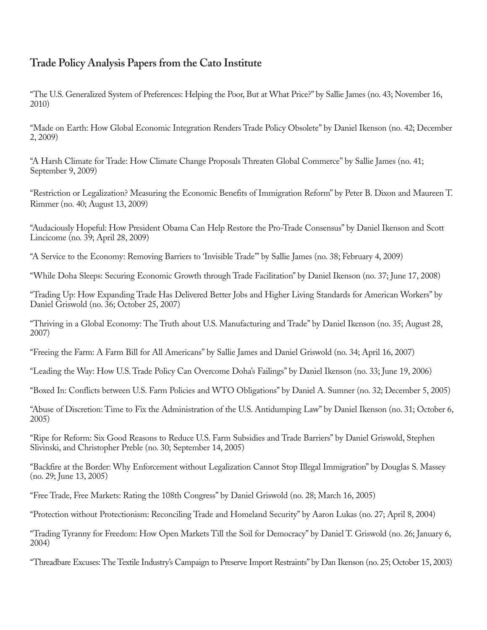### **Trade Policy Analysis Papers from the Cato Institute**

"The U.S. Generalized System of Preferences: Helping the Poor, But at What Price?" by Sallie James (no. 43; November 16, 2010)

"Made on Earth: How Global Economic Integration Renders Trade Policy Obsolete" by Daniel Ikenson (no. 42; December 2, 2009)

"A Harsh Climate for Trade: How Climate Change Proposals Threaten Global Commerce" by Sallie James (no. 41; September 9, 2009)

"Restriction or Legalization? Measuring the Economic Benefits of Immigration Reform" by Peter B. Dixon and Maureen T. Rimmer (no. 40; August 13, 2009)

"Audaciously Hopeful: How President Obama Can Help Restore the Pro-Trade Consensus" by Daniel Ikenson and Scott Lincicome (no. 39; April 28, 2009)

"A Service to the Economy: Removing Barriers to 'Invisible Trade'" by Sallie James (no. 38; February 4, 2009)

"While Doha Sleeps: Securing Economic Growth through Trade Facilitation" by Daniel Ikenson (no. 37; June 17, 2008)

"Trading Up: How Expanding Trade Has Delivered Better Jobs and Higher Living Standards for American Workers" by Daniel Griswold (no. 36; October 25, 2007)

"Thriving in a Global Economy: The Truth about U.S. Manufacturing and Trade" by Daniel Ikenson (no. 35; August 28, 2007)

"Freeing the Farm: A Farm Bill for All Americans" by Sallie James and Daniel Griswold (no. 34; April 16, 2007)

"Leading the Way: How U.S. Trade Policy Can Overcome Doha's Failings" by Daniel Ikenson (no. 33; June 19, 2006)

"Boxed In: Conflicts between U.S. Farm Policies and WTO Obligations" by Daniel A. Sumner (no. 32; December 5, 2005)

"Abuse of Discretion: Time to Fix the Administration of the U.S. Antidumping Law" by Daniel Ikenson (no. 31; October 6, 2005)

"Ripe for Reform: Six Good Reasons to Reduce U.S. Farm Subsidies and Trade Barriers" by Daniel Griswold, Stephen Slivinski, and Christopher Preble (no. 30; September 14, 2005)

"Backfire at the Border: Why Enforcement without Legalization Cannot Stop Illegal Immigration" by Douglas S. Massey (no. 29; June 13, 2005)

"Free Trade, Free Markets: Rating the 108th Congress" by Daniel Griswold (no. 28; March 16, 2005)

"Protection without Protectionism: Reconciling Trade and Homeland Security" by Aaron Lukas (no. 27; April 8, 2004)

"Trading Tyranny for Freedom: How Open Markets Till the Soil for Democracy" by Daniel T. Griswold (no. 26; January 6, 2004)

"Threadbare Excuses: The Textile Industry's Campaign to Preserve Import Restraints" by Dan Ikenson (no. 25; October 15, 2003)